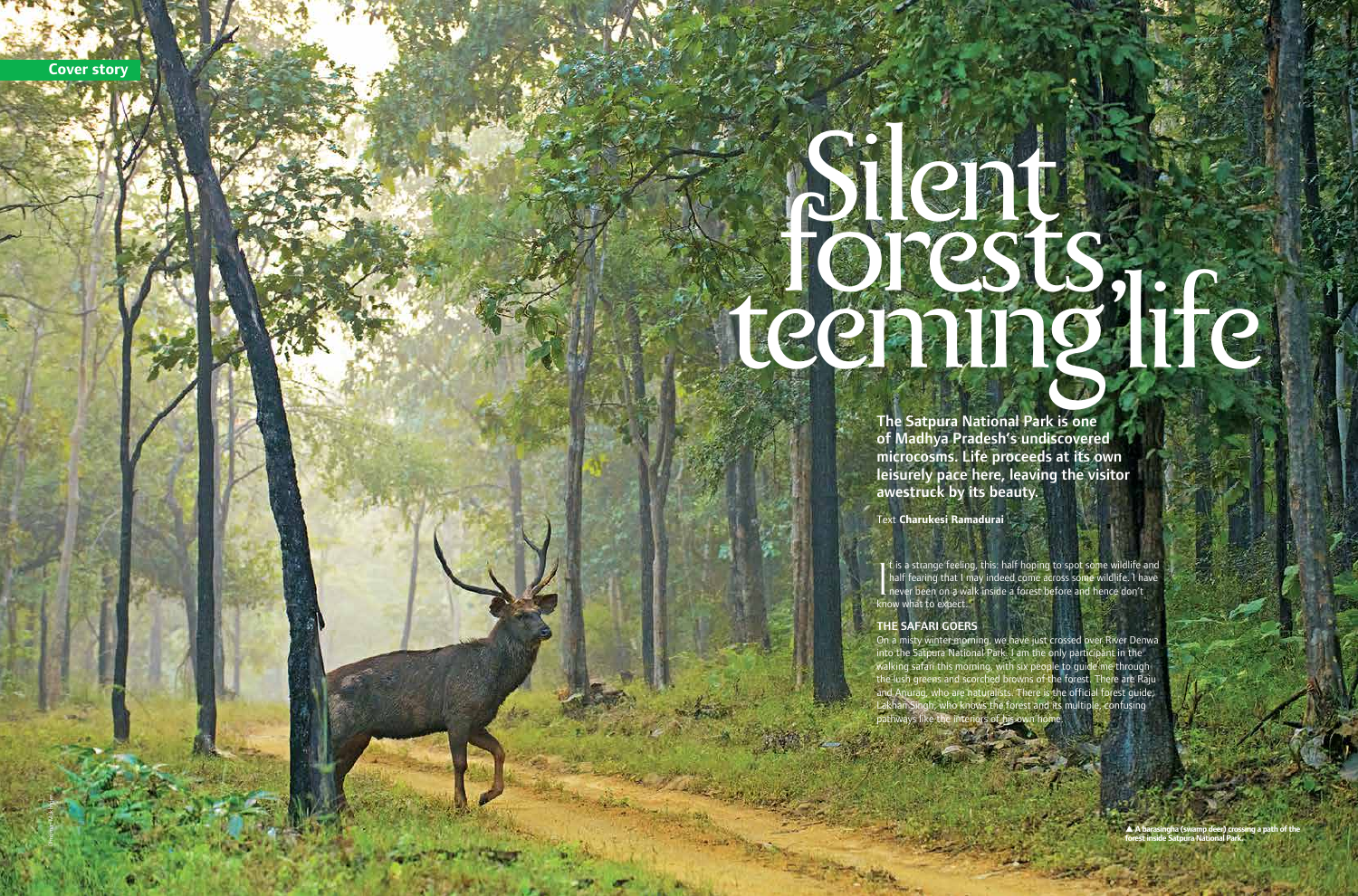**28** JetWings International January 2015 JetWings International January 2015 **29**

**Cover story**

## The Satpura National Park is one of Madhya Pradesh's undiscovered microcosms. Life proceeds at its own leisurely pace here, leaving the visitor **Silent forests, teeminglife**

t is a strange feeling, this: half hoping to spot some wildlife and half fearing that I may indeed come across some wildlife. I have

awestruck by its beauty.

Text **Charukesi Ramadurai**

On a misty winter morning, we have just crossed over River Denwa into the Satpura National Park. I am the only participant in the walking safari this morning, with six people to guide me through the lush greens and scorched browns of the forest. There are Raju and Anurag, who are naturalists. There is the official forest guide, Lakhan Singh, who knows the forest and its multiple, confusing pathways like the interiors of his own home

I t is a strange feelin<br>
half fearing that I<br>
never been on a w<br>
know what to expect. **never been on a walk** inside a forest before and hence don't

THE SAFARI GOERS

Dhritiman Mukherjee

p **A barasingha (swamp deer) crossing a path of the forest inside Satpura National Park.**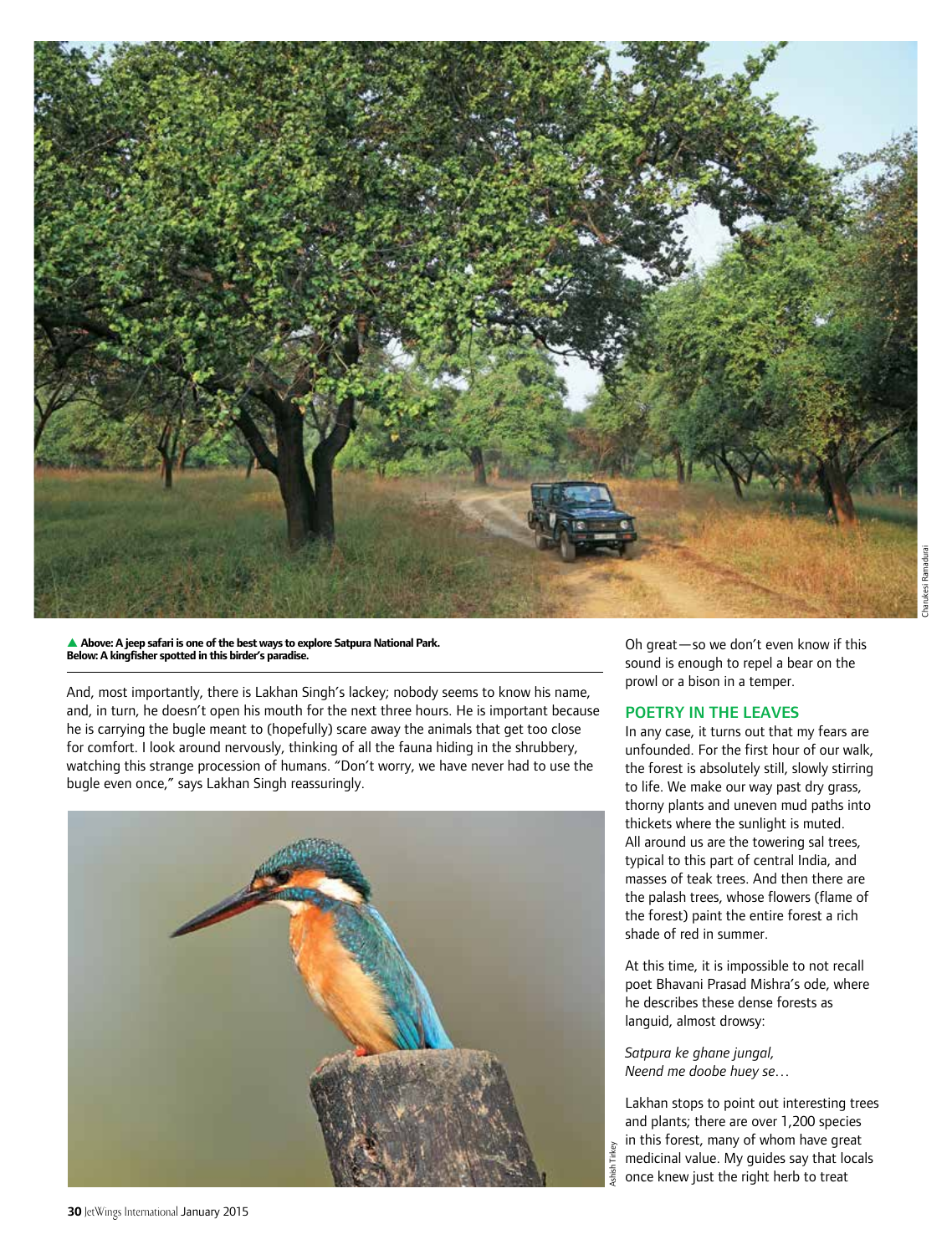

A Above: A jeep safari is one of the best ways to explore Satpura National Park. **Below: A kingfisher spotted in this birder's paradise.**

And, most importantly, there is Lakhan Singh's lackey; nobody seems to know his name, and, in turn, he doesn't open his mouth for the next three hours. He is important because he is carrying the bugle meant to (hopefully) scare away the animals that get too close for comfort. I look around nervously, thinking of all the fauna hiding in the shrubbery, watching this strange procession of humans. "Don't worry, we have never had to use the bugle even once," says Lakhan Singh reassuringly.



Oh great—so we don't even know if this sound is enough to repel a bear on the prowl or a bison in a temper.

## POETRY IN THE LEAVES

In any case, it turns out that my fears are unfounded. For the first hour of our walk, the forest is absolutely still, slowly stirring to life. We make our way past dry grass, thorny plants and uneven mud paths into thickets where the sunlight is muted. All around us are the towering sal trees, typical to this part of central India, and masses of teak trees. And then there are the palash trees, whose flowers (flame of the forest) paint the entire forest a rich shade of red in summer.

At this time, it is impossible to not recall poet Bhavani Prasad Mishra's ode, where he describes these dense forests as languid, almost drowsy:

*Satpura ke ghane jungal, Neend me doobe huey se…*

Lakhan stops to point out interesting trees and plants; there are over 1,200 species in this forest, many of whom have great medicinal value. My guides say that locals once knew just the right herb to treat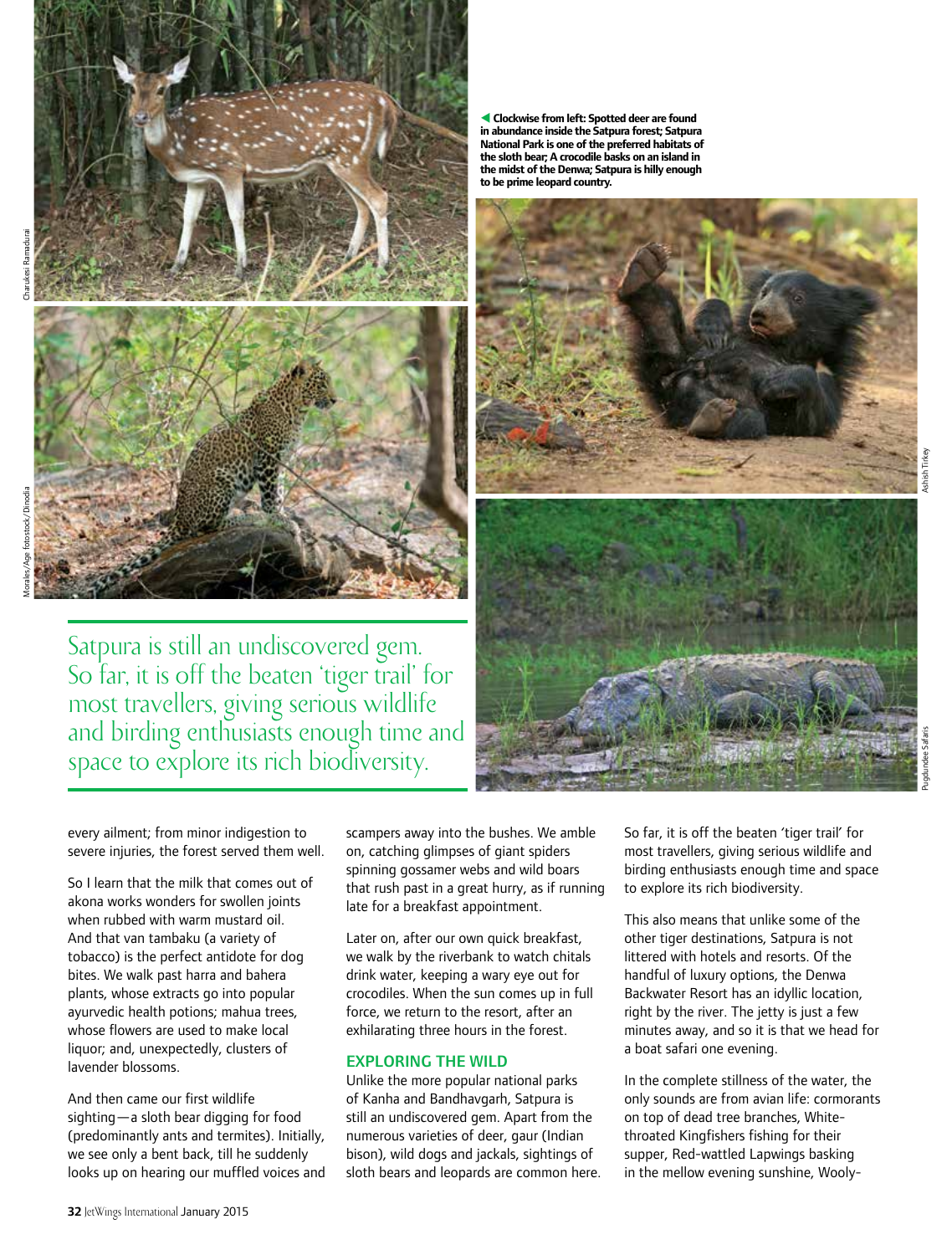

Satpura is still an undiscovered gem. So far, it is off the beaten 'tiger trail' for most travellers, giving serious wildlife and birding enthusiasts enough time and space to explore its rich biodiversity.

t **Clockwise from left: Spotted deer are found in abundance inside the Satpura forest; Satpura National Park is one of the preferred habitats of the sloth bear; A crocodile basks on an island in the midst of the Denwa; Satpura is hilly enough to be prime leopard country.**



Ashish Tirkey

Pugdundee Safaris

every ailment; from minor indigestion to severe injuries, the forest served them well.

So I learn that the milk that comes out of akona works wonders for swollen joints when rubbed with warm mustard oil. And that van tambaku (a variety of tobacco) is the perfect antidote for dog bites. We walk past harra and bahera plants, whose extracts go into popular ayurvedic health potions; mahua trees, whose flowers are used to make local liquor; and, unexpectedly, clusters of lavender blossoms.

And then came our first wildlife sighting—a sloth bear digging for food (predominantly ants and termites). Initially, we see only a bent back, till he suddenly looks up on hearing our muffled voices and scampers away into the bushes. We amble on, catching glimpses of giant spiders spinning gossamer webs and wild boars that rush past in a great hurry, as if running late for a breakfast appointment.

Later on, after our own quick breakfast, we walk by the riverbank to watch chitals drink water, keeping a wary eye out for crocodiles. When the sun comes up in full force, we return to the resort, after an exhilarating three hours in the forest.

## EXPLORING THE WILD

Unlike the more popular national parks of Kanha and Bandhavgarh, Satpura is still an undiscovered gem. Apart from the numerous varieties of deer, gaur (Indian bison), wild dogs and jackals, sightings of sloth bears and leopards are common here.

So far, it is off the beaten 'tiger trail' for most travellers, giving serious wildlife and birding enthusiasts enough time and space to explore its rich biodiversity.

This also means that unlike some of the other tiger destinations, Satpura is not littered with hotels and resorts. Of the handful of luxury options, the Denwa Backwater Resort has an idyllic location, right by the river. The jetty is just a few minutes away, and so it is that we head for a boat safari one evening.

In the complete stillness of the water, the only sounds are from avian life: cormorants on top of dead tree branches, Whitethroated Kingfishers fishing for their supper, Red-wattled Lapwings basking in the mellow evening sunshine, Wooly-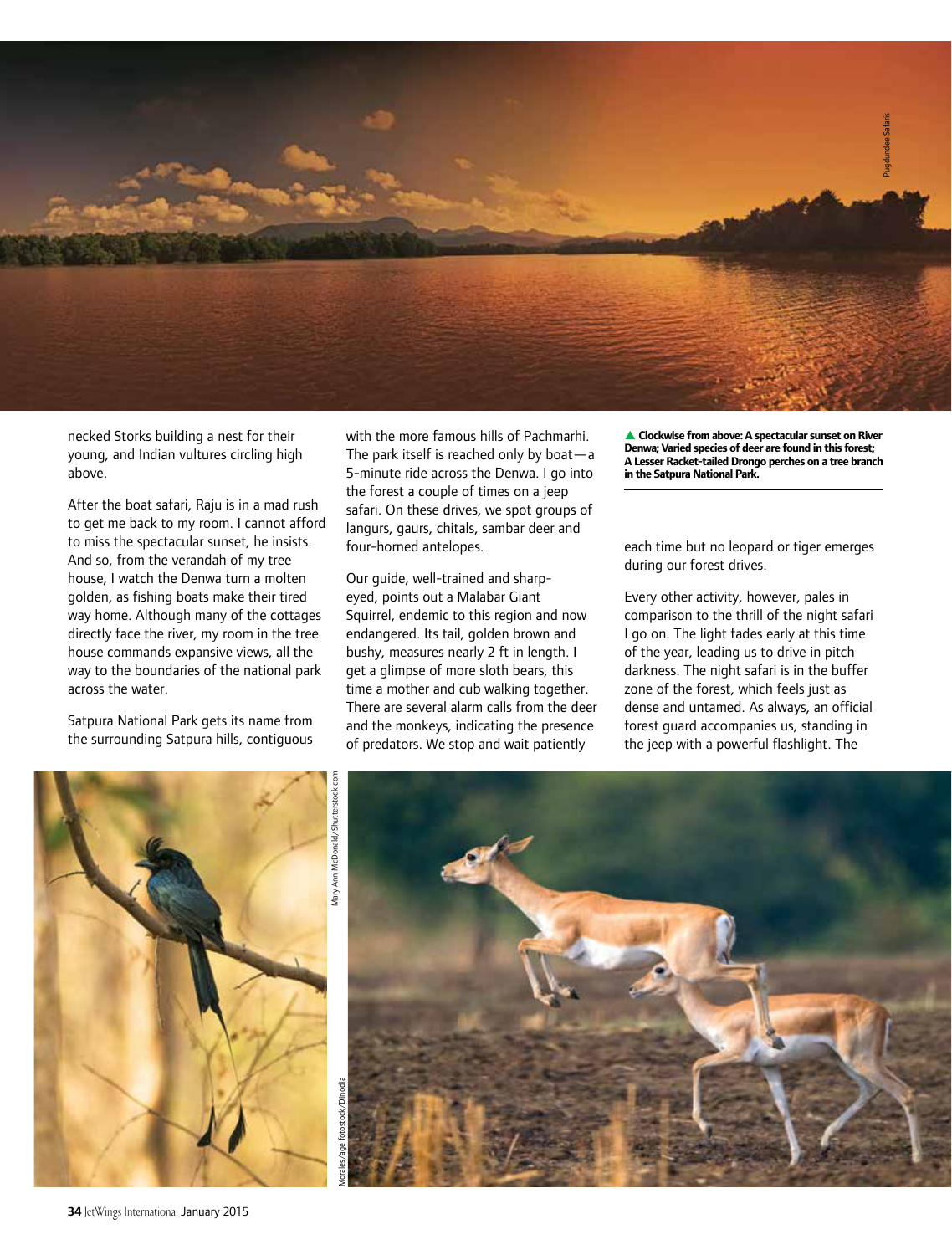

necked Storks building a nest for their young, and Indian vultures circling high above.

After the boat safari, Raju is in a mad rush to get me back to my room. I cannot afford to miss the spectacular sunset, he insists. And so, from the verandah of my tree house, I watch the Denwa turn a molten golden, as fishing boats make their tired way home. Although many of the cottages directly face the river, my room in the tree house commands expansive views, all the way to the boundaries of the national park across the water.

Satpura National Park gets its name from the surrounding Satpura hills, contiguous with the more famous hills of Pachmarhi. The park itself is reached only by boat—a 5-minute ride across the Denwa. I go into the forest a couple of times on a jeep safari. On these drives, we spot groups of langurs, gaurs, chitals, sambar deer and four-horned antelopes.

Our guide, well-trained and sharpeyed, points out a Malabar Giant Squirrel, endemic to this region and now endangered. Its tail, golden brown and bushy, measures nearly 2 ft in length. I get a glimpse of more sloth bears, this time a mother and cub walking together. There are several alarm calls from the deer and the monkeys, indicating the presence of predators. We stop and wait patiently

▲ Clockwise from above: A spectacular sunset on River **Denwa; Varied species of deer are found in this forest; A Lesser Racket-tailed Drongo perches on a tree branch in the Satpura National Park.**

each time but no leopard or tiger emerges during our forest drives.

Every other activity, however, pales in comparison to the thrill of the night safari I go on. The light fades early at this time of the year, leading us to drive in pitch darkness. The night safari is in the buffer zone of the forest, which feels just as dense and untamed. As always, an official forest guard accompanies us, standing in the jeep with a powerful flashlight. The